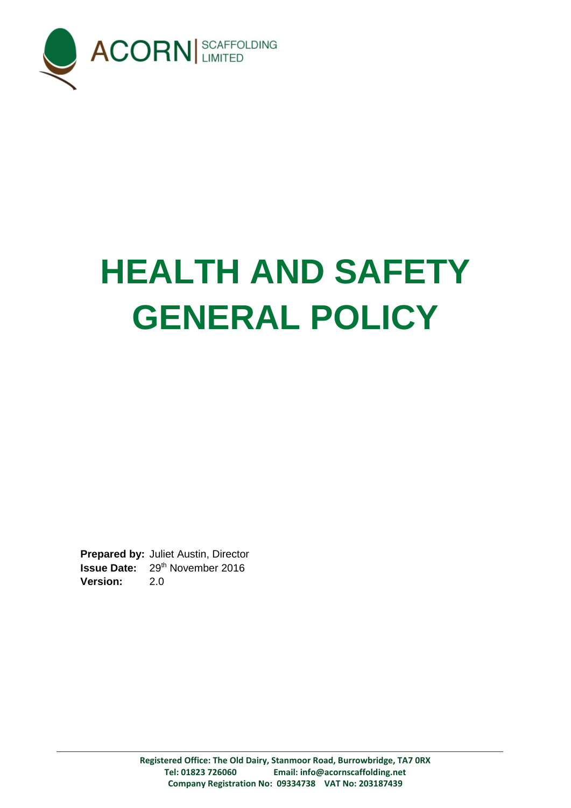

# **HEALTH AND SAFETY GENERAL POLICY**

**Prepared by:** Juliet Austin, Director **Issue Date:** 29<sup>th</sup> November 2016 **Version:** 2.0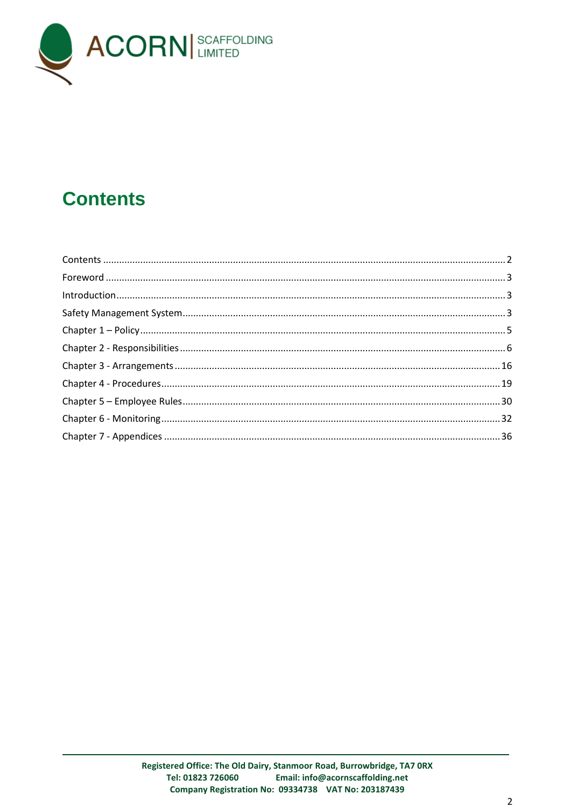

# <span id="page-1-0"></span>**Contents**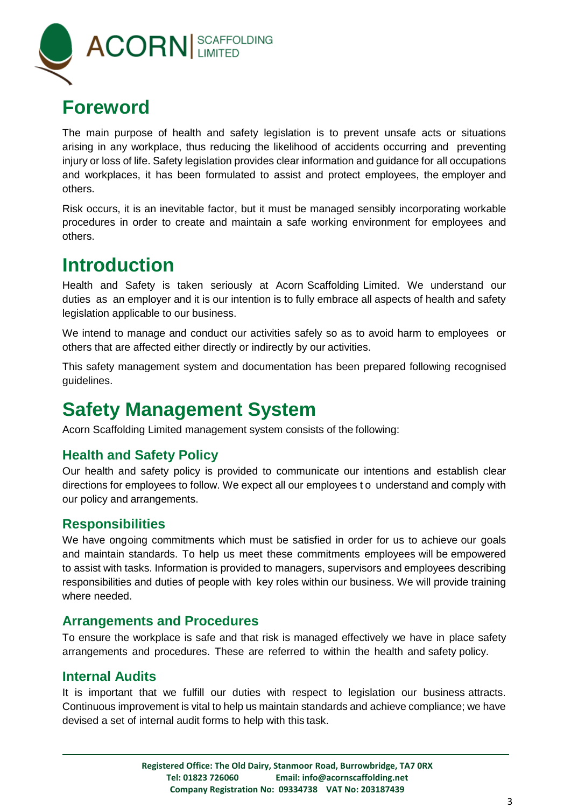

## <span id="page-2-0"></span>**Foreword**

The main purpose of health and safety legislation is to prevent unsafe acts or situations arising in any workplace, thus reducing the likelihood of accidents occurring and preventing injury or loss of life. Safety legislation provides clear information and guidance for all occupations and workplaces, it has been formulated to assist and protect employees, the employer and others.

Risk occurs, it is an inevitable factor, but it must be managed sensibly incorporating workable procedures in order to create and maintain a safe working environment for employees and others.

## <span id="page-2-1"></span>**Introduction**

Health and Safety is taken seriously at Acorn Scaffolding Limited. We understand our duties as an employer and it is our intention is to fully embrace all aspects of health and safety legislation applicable to our business.

We intend to manage and conduct our activities safely so as to avoid harm to employees or others that are affected either directly or indirectly by our activities.

This safety management system and documentation has been prepared following recognised guidelines.

# <span id="page-2-2"></span>**Safety Management System**

Acorn Scaffolding Limited management system consists of the following:

#### **Health and Safety Policy**

Our health and safety policy is provided to communicate our intentions and establish clear directions for employees to follow. We expect all our employees t o understand and comply with our policy and arrangements.

#### **Responsibilities**

We have ongoing commitments which must be satisfied in order for us to achieve our goals and maintain standards. To help us meet these commitments employees will be empowered to assist with tasks. Information is provided to managers, supervisors and employees describing responsibilities and duties of people with key roles within our business. We will provide training where needed.

#### **Arrangements and Procedures**

To ensure the workplace is safe and that risk is managed effectively we have in place safety arrangements and procedures. These are referred to within the health and safety policy.

#### **Internal Audits**

It is important that we fulfill our duties with respect to legislation our business attracts. Continuous improvement is vital to help us maintain standards and achieve compliance; we have devised a set of internal audit forms to help with this task.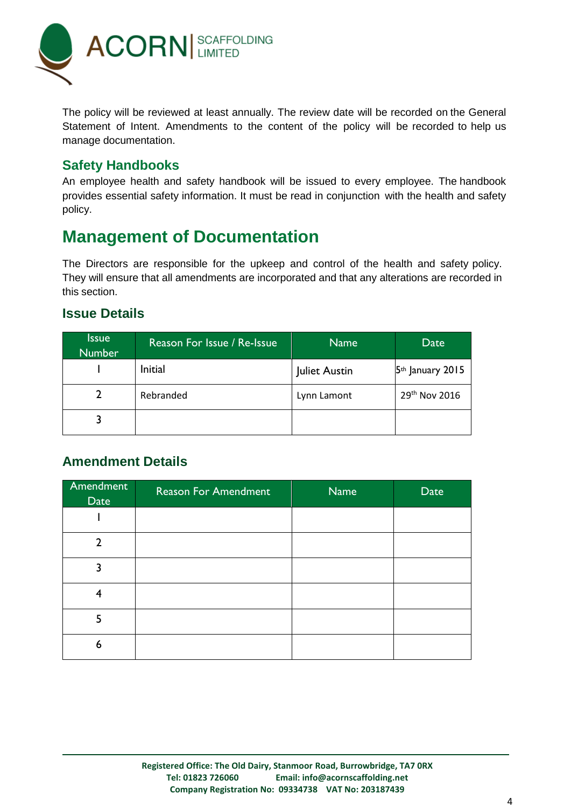

The policy will be reviewed at least annually. The review date will be recorded on the General Statement of Intent. Amendments to the content of the policy will be recorded to help us manage documentation.

#### **Safety Handbooks**

An employee health and safety handbook will be issued to every employee. The handbook provides essential safety information. It must be read in conjunction with the health and safety policy.

#### **Management of Documentation**

The Directors are responsible for the upkeep and control of the health and safety policy. They will ensure that all amendments are incorporated and that any alterations are recorded in this section.

#### **Issue Details**

| <b>Issue</b><br><b>Number</b> | Reason For Issue / Re-Issue | <b>Name</b>   | Date                      |
|-------------------------------|-----------------------------|---------------|---------------------------|
|                               | Initial                     | Juliet Austin | $5th$ January 2015        |
|                               | Rebranded                   | Lynn Lamont   | 29 <sup>th</sup> Nov 2016 |
|                               |                             |               |                           |

#### **Amendment Details**

| Amendment<br>Date | <b>Reason For Amendment</b> | <b>Name</b> | Date |
|-------------------|-----------------------------|-------------|------|
|                   |                             |             |      |
| າ                 |                             |             |      |
| ٦                 |                             |             |      |
| 4                 |                             |             |      |
| 5                 |                             |             |      |
| 6                 |                             |             |      |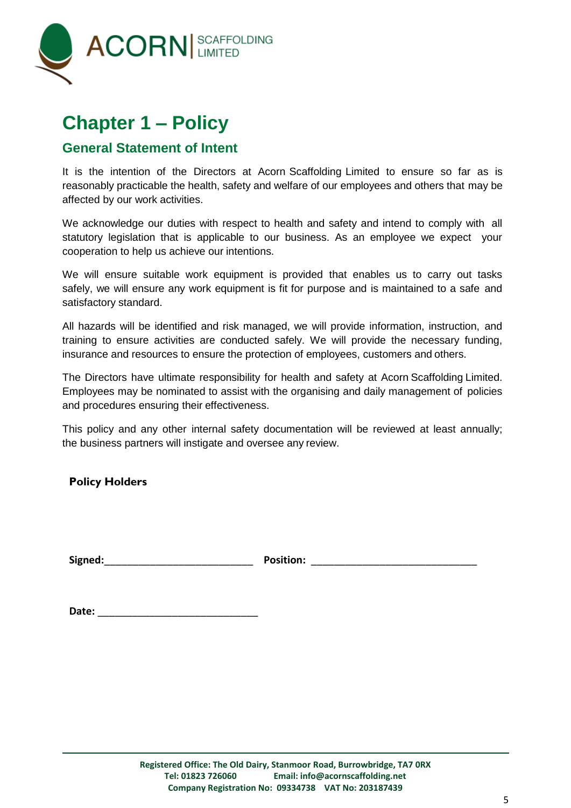

# <span id="page-4-0"></span>**Chapter 1 – Policy**

#### **General Statement of Intent**

It is the intention of the Directors at Acorn Scaffolding Limited to ensure so far as is reasonably practicable the health, safety and welfare of our employees and others that may be affected by our work activities.

We acknowledge our duties with respect to health and safety and intend to comply with all statutory legislation that is applicable to our business. As an employee we expect your cooperation to help us achieve our intentions.

We will ensure suitable work equipment is provided that enables us to carry out tasks safely, we will ensure any work equipment is fit for purpose and is maintained to a safe and satisfactory standard.

All hazards will be identified and risk managed, we will provide information, instruction, and training to ensure activities are conducted safely. We will provide the necessary funding, insurance and resources to ensure the protection of employees, customers and others.

The Directors have ultimate responsibility for health and safety at Acorn Scaffolding Limited. Employees may be nominated to assist with the organising and daily management of policies and procedures ensuring their effectiveness.

This policy and any other internal safety documentation will be reviewed at least annually; the business partners will instigate and oversee any review.

**Policy Holders**

**Signed:**\_\_\_\_\_\_\_\_\_\_\_\_\_\_\_\_\_\_\_\_\_\_\_\_\_\_ **Position:** \_\_\_\_\_\_\_\_\_\_\_\_\_\_\_\_\_\_\_\_\_\_\_\_\_\_\_\_\_

| Date: |  |
|-------|--|
|       |  |
|       |  |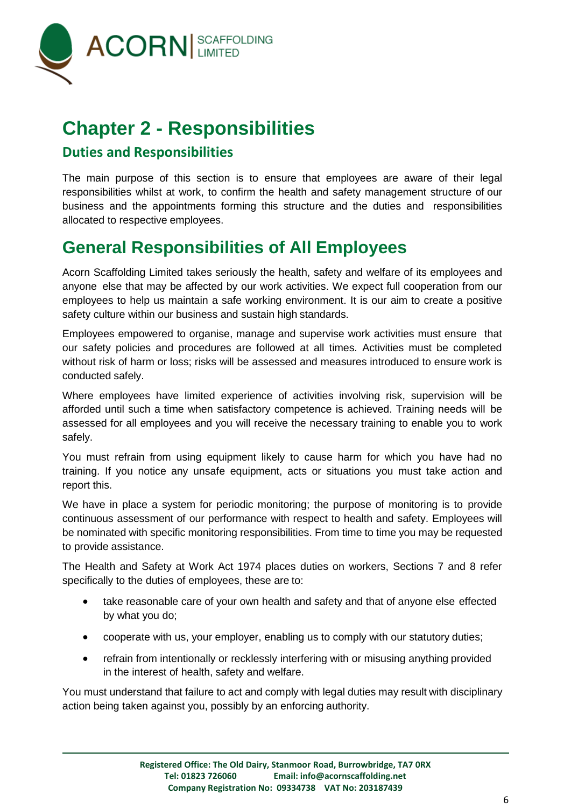

# <span id="page-5-0"></span>**Chapter 2 - Responsibilities**

#### **Duties and Responsibilities**

The main purpose of this section is to ensure that employees are aware of their legal responsibilities whilst at work, to confirm the health and safety management structure of our business and the appointments forming this structure and the duties and responsibilities allocated to respective employees.

## **General Responsibilities of All Employees**

Acorn Scaffolding Limited takes seriously the health, safety and welfare of its employees and anyone else that may be affected by our work activities. We expect full cooperation from our employees to help us maintain a safe working environment. It is our aim to create a positive safety culture within our business and sustain high standards.

Employees empowered to organise, manage and supervise work activities must ensure that our safety policies and procedures are followed at all times. Activities must be completed without risk of harm or loss; risks will be assessed and measures introduced to ensure work is conducted safely.

Where employees have limited experience of activities involving risk, supervision will be afforded until such a time when satisfactory competence is achieved. Training needs will be assessed for all employees and you will receive the necessary training to enable you to work safely.

You must refrain from using equipment likely to cause harm for which you have had no training. If you notice any unsafe equipment, acts or situations you must take action and report this.

We have in place a system for periodic monitoring; the purpose of monitoring is to provide continuous assessment of our performance with respect to health and safety. Employees will be nominated with specific monitoring responsibilities. From time to time you may be requested to provide assistance.

The Health and Safety at Work Act 1974 places duties on workers, Sections 7 and 8 refer specifically to the duties of employees, these are to:

- take reasonable care of your own health and safety and that of anyone else effected by what you do;
- cooperate with us, your employer, enabling us to comply with our statutory duties;
- refrain from intentionally or recklessly interfering with or misusing anything provided in the interest of health, safety and welfare.

You must understand that failure to act and comply with legal duties may result with disciplinary action being taken against you, possibly by an enforcing authority.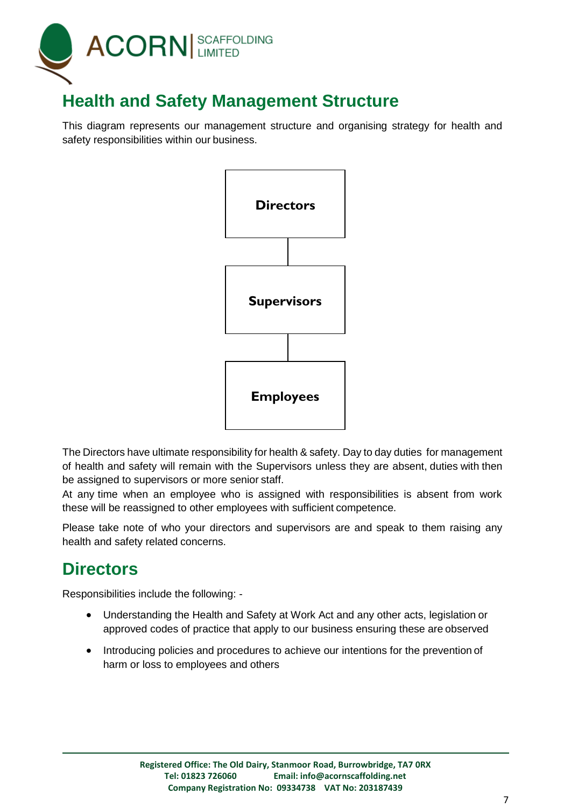

## **Health and Safety Management Structure**

This diagram represents our management structure and organising strategy for health and safety responsibilities within our business.



The Directors have ultimate responsibility for health & safety. Day to day duties for management of health and safety will remain with the Supervisors unless they are absent, duties with then be assigned to supervisors or more senior staff.

At any time when an employee who is assigned with responsibilities is absent from work these will be reassigned to other employees with sufficient competence.

Please take note of who your directors and supervisors are and speak to them raising any health and safety related concerns.

## **Directors**

Responsibilities include the following: -

- Understanding the Health and Safety at Work Act and any other acts, legislation or approved codes of practice that apply to our business ensuring these are observed
- Introducing policies and procedures to achieve our intentions for the prevention of harm or loss to employees and others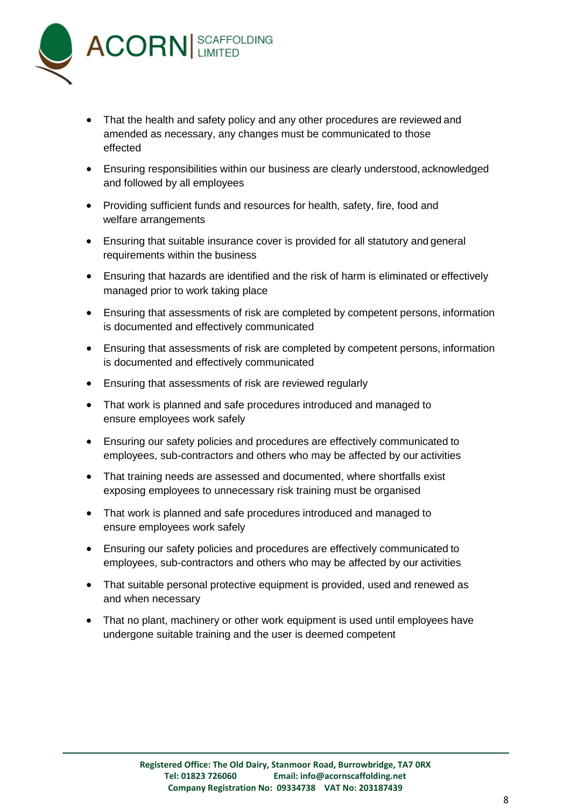

- That the health and safety policy and any other procedures are reviewed and amended as necessary, any changes must be communicated to those effected
- Ensuring responsibilities within our business are clearly understood, acknowledged and followed by all employees
- Providing sufficient funds and resources for health, safety, fire, food and welfare arrangements
- Ensuring that suitable insurance cover is provided for all statutory and general requirements within the business
- Ensuring that hazards are identified and the risk of harm is eliminated or effectively managed prior to work taking place
- Ensuring that assessments of risk are completed by competent persons, information is documented and effectively communicated
- Ensuring that assessments of risk are completed by competent persons, information is documented and effectively communicated
- Ensuring that assessments of risk are reviewed regularly
- That work is planned and safe procedures introduced and managed to ensure employees work safely
- Ensuring our safety policies and procedures are effectively communicated to employees, sub-contractors and others who may be affected by our activities
- That training needs are assessed and documented, where shortfalls exist exposing employees to unnecessary risk training must be organised
- That work is planned and safe procedures introduced and managed to ensure employees work safely
- Ensuring our safety policies and procedures are effectively communicated to employees, sub-contractors and others who may be affected by our activities
- That suitable personal protective equipment is provided, used and renewed as and when necessary
- That no plant, machinery or other work equipment is used until employees have undergone suitable training and the user is deemed competent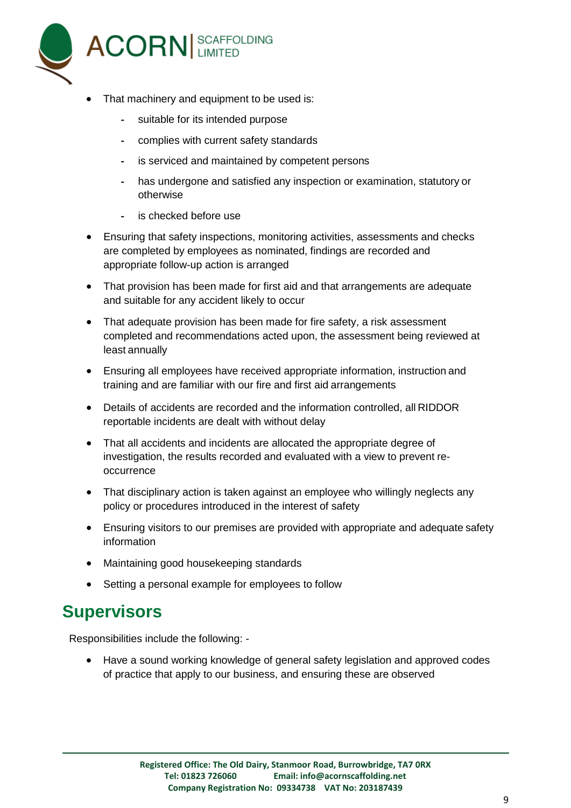

- That machinery and equipment to be used is:
	- suitable for its intended purpose
	- complies with current safety standards
	- is serviced and maintained by competent persons
	- has undergone and satisfied any inspection or examination, statutory or otherwise
	- is checked before use
- Ensuring that safety inspections, monitoring activities, assessments and checks are completed by employees as nominated, findings are recorded and appropriate follow-up action is arranged
- That provision has been made for first aid and that arrangements are adequate and suitable for any accident likely to occur
- That adequate provision has been made for fire safety, a risk assessment completed and recommendations acted upon, the assessment being reviewed at least annually
- Ensuring all employees have received appropriate information, instruction and training and are familiar with our fire and first aid arrangements
- Details of accidents are recorded and the information controlled, all RIDDOR reportable incidents are dealt with without delay
- That all accidents and incidents are allocated the appropriate degree of investigation, the results recorded and evaluated with a view to prevent reoccurrence
- That disciplinary action is taken against an employee who willingly neglects any policy or procedures introduced in the interest of safety
- Ensuring visitors to our premises are provided with appropriate and adequate safety information
- Maintaining good housekeeping standards
- Setting a personal example for employees to follow

#### **Supervisors**

Responsibilities include the following: -

 Have a sound working knowledge of general safety legislation and approved codes of practice that apply to our business, and ensuring these are observed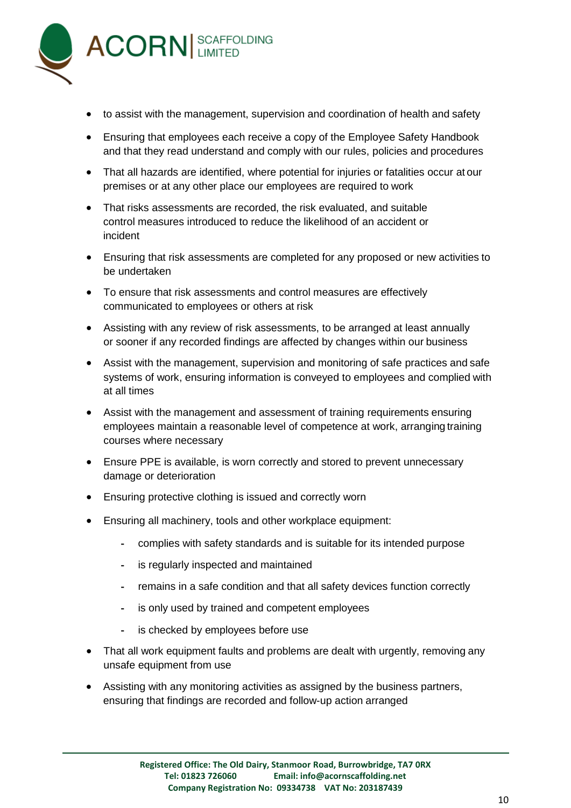

- to assist with the management, supervision and coordination of health and safety
- Ensuring that employees each receive a copy of the Employee Safety Handbook and that they read understand and comply with our rules, policies and procedures
- That all hazards are identified, where potential for injuries or fatalities occur at our premises or at any other place our employees are required to work
- That risks assessments are recorded, the risk evaluated, and suitable control measures introduced to reduce the likelihood of an accident or incident
- Ensuring that risk assessments are completed for any proposed or new activities to be undertaken
- To ensure that risk assessments and control measures are effectively communicated to employees or others at risk
- Assisting with any review of risk assessments, to be arranged at least annually or sooner if any recorded findings are affected by changes within our business
- Assist with the management, supervision and monitoring of safe practices and safe systems of work, ensuring information is conveyed to employees and complied with at all times
- Assist with the management and assessment of training requirements ensuring employees maintain a reasonable level of competence at work, arranging training courses where necessary
- Ensure PPE is available, is worn correctly and stored to prevent unnecessary damage or deterioration
- Ensuring protective clothing is issued and correctly worn
- Ensuring all machinery, tools and other workplace equipment:
	- complies with safety standards and is suitable for its intended purpose
	- is regularly inspected and maintained
	- remains in a safe condition and that all safety devices function correctly
	- is only used by trained and competent employees
	- is checked by employees before use
- That all work equipment faults and problems are dealt with urgently, removing any unsafe equipment from use
- Assisting with any monitoring activities as assigned by the business partners, ensuring that findings are recorded and follow-up action arranged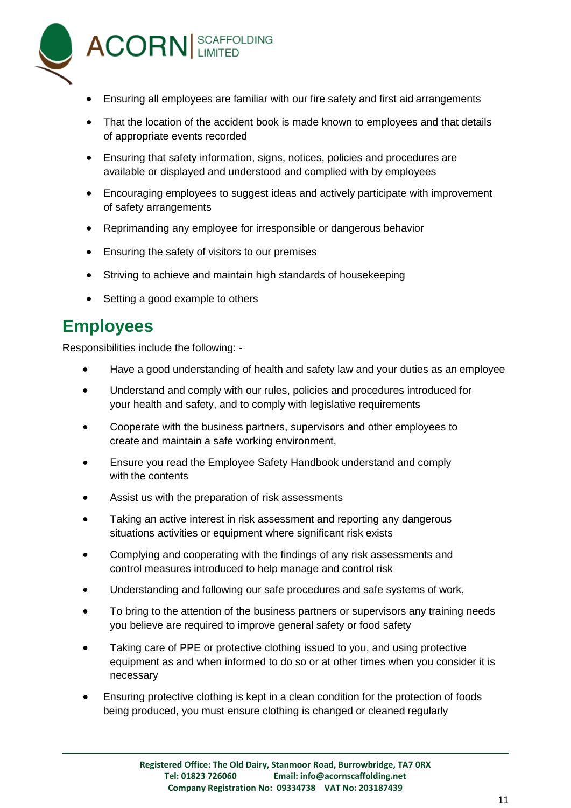

- Ensuring all employees are familiar with our fire safety and first aid arrangements
- That the location of the accident book is made known to employees and that details of appropriate events recorded
- Ensuring that safety information, signs, notices, policies and procedures are available or displayed and understood and complied with by employees
- Encouraging employees to suggest ideas and actively participate with improvement of safety arrangements
- Reprimanding any employee for irresponsible or dangerous behavior
- **Ensuring the safety of visitors to our premises**
- Striving to achieve and maintain high standards of housekeeping
- Setting a good example to others

#### **Employees**

Responsibilities include the following: -

- Have a good understanding of health and safety law and your duties as an employee
- Understand and comply with our rules, policies and procedures introduced for your health and safety, and to comply with legislative requirements
- Cooperate with the business partners, supervisors and other employees to create and maintain a safe working environment,
- Ensure you read the Employee Safety Handbook understand and comply with the contents
- Assist us with the preparation of risk assessments
- Taking an active interest in risk assessment and reporting any dangerous situations activities or equipment where significant risk exists
- Complying and cooperating with the findings of any risk assessments and control measures introduced to help manage and control risk
- Understanding and following our safe procedures and safe systems of work,
- To bring to the attention of the business partners or supervisors any training needs you believe are required to improve general safety or food safety
- Taking care of PPE or protective clothing issued to you, and using protective equipment as and when informed to do so or at other times when you consider it is necessary
- Ensuring protective clothing is kept in a clean condition for the protection of foods being produced, you must ensure clothing is changed or cleaned regularly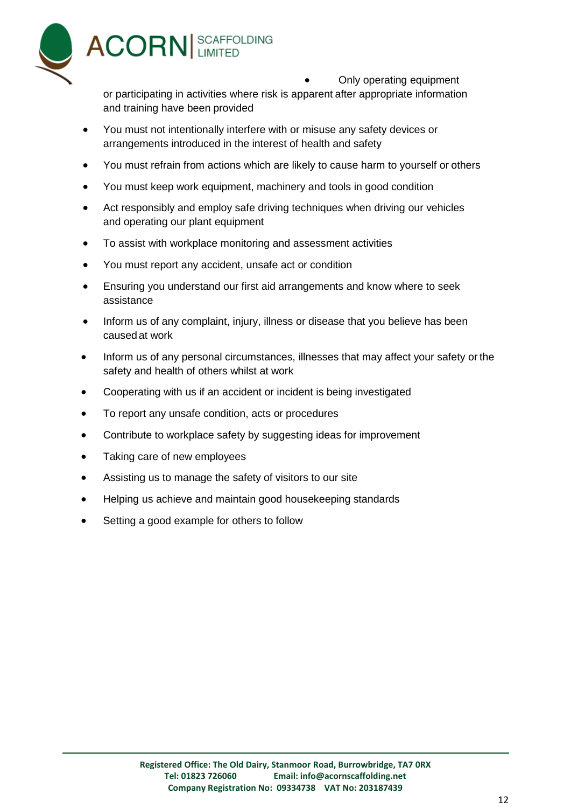

Only operating equipment

or participating in activities where risk is apparent after appropriate information and training have been provided

- You must not intentionally interfere with or misuse any safety devices or arrangements introduced in the interest of health and safety
- You must refrain from actions which are likely to cause harm to yourself or others
- You must keep work equipment, machinery and tools in good condition
- Act responsibly and employ safe driving techniques when driving our vehicles and operating our plant equipment
- To assist with workplace monitoring and assessment activities
- You must report any accident, unsafe act or condition
- Ensuring you understand our first aid arrangements and know where to seek assistance
- Inform us of any complaint, injury, illness or disease that you believe has been causedat work
- Inform us of any personal circumstances, illnesses that may affect your safety or the safety and health of others whilst at work
- Cooperating with us if an accident or incident is being investigated
- To report any unsafe condition, acts or procedures
- Contribute to workplace safety by suggesting ideas for improvement
- Taking care of new employees
- Assisting us to manage the safety of visitors to our site
- Helping us achieve and maintain good housekeeping standards
- Setting a good example for others to follow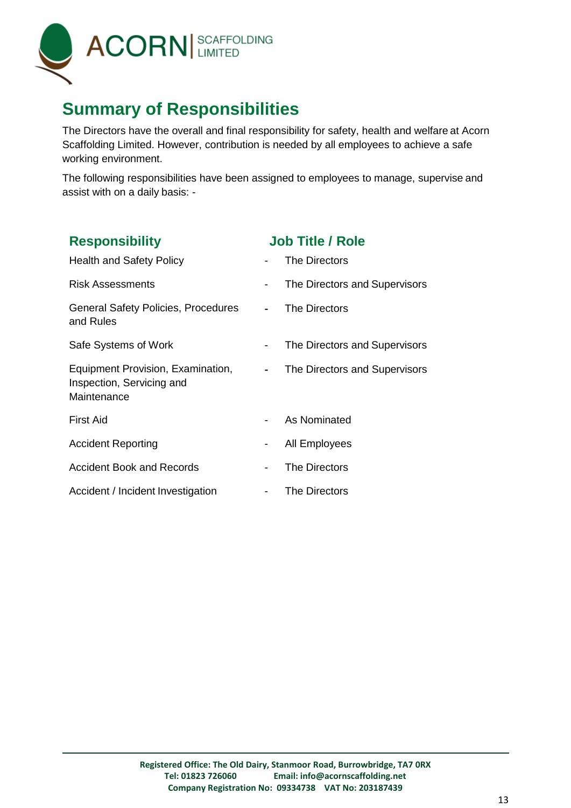

## **Summary of Responsibilities**

The Directors have the overall and final responsibility for safety, health and welfare at Acorn Scaffolding Limited. However, contribution is needed by all employees to achieve a safe working environment.

The following responsibilities have been assigned to employees to manage, supervise and assist with on a daily basis: -

| <b>Responsibility</b>                                                         | <b>Job Title / Role</b>                                   |
|-------------------------------------------------------------------------------|-----------------------------------------------------------|
| <b>Health and Safety Policy</b>                                               | The Directors                                             |
| <b>Risk Assessments</b>                                                       | The Directors and Supervisors                             |
| <b>General Safety Policies, Procedures</b><br>and Rules                       | The Directors                                             |
| Safe Systems of Work                                                          | The Directors and Supervisors                             |
| Equipment Provision, Examination,<br>Inspection, Servicing and<br>Maintenance | The Directors and Supervisors<br>$\overline{\phantom{a}}$ |
| <b>First Aid</b>                                                              | As Nominated                                              |
| <b>Accident Reporting</b>                                                     | All Employees<br>-                                        |
| <b>Accident Book and Records</b>                                              | The Directors                                             |
| Accident / Incident Investigation                                             | The Directors<br>$\blacksquare$                           |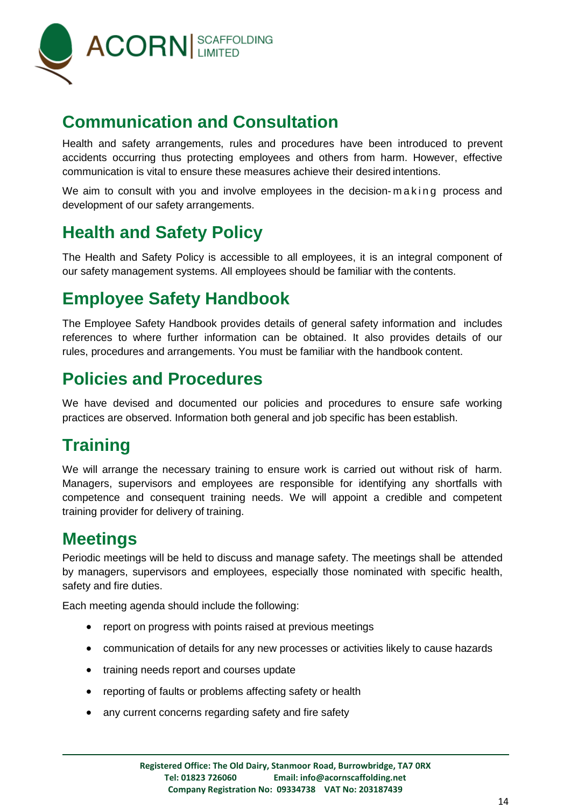

## **Communication and Consultation**

Health and safety arrangements, rules and procedures have been introduced to prevent accidents occurring thus protecting employees and others from harm. However, effective communication is vital to ensure these measures achieve their desired intentions.

We aim to consult with you and involve employees in the decision-making process and development of our safety arrangements.

## **Health and Safety Policy**

The Health and Safety Policy is accessible to all employees, it is an integral component of our safety management systems. All employees should be familiar with the contents.

# **Employee Safety Handbook**

The Employee Safety Handbook provides details of general safety information and includes references to where further information can be obtained. It also provides details of our rules, procedures and arrangements. You must be familiar with the handbook content.

## **Policies and Procedures**

We have devised and documented our policies and procedures to ensure safe working practices are observed. Information both general and job specific has been establish.

## **Training**

We will arrange the necessary training to ensure work is carried out without risk of harm. Managers, supervisors and employees are responsible for identifying any shortfalls with competence and consequent training needs. We will appoint a credible and competent training provider for delivery of training.

## **Meetings**

Periodic meetings will be held to discuss and manage safety. The meetings shall be attended by managers, supervisors and employees, especially those nominated with specific health, safety and fire duties.

Each meeting agenda should include the following:

- report on progress with points raised at previous meetings
- communication of details for any new processes or activities likely to cause hazards
- training needs report and courses update
- reporting of faults or problems affecting safety or health
- any current concerns regarding safety and fire safety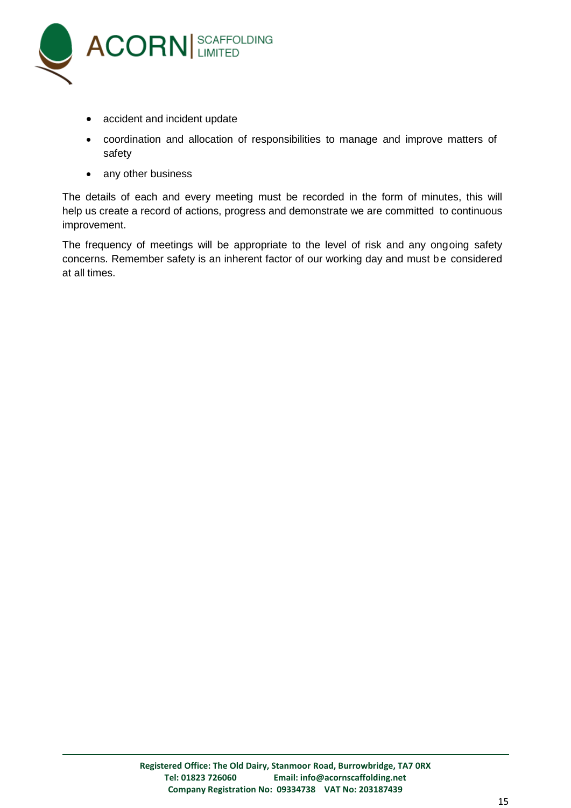

- accident and incident update
- coordination and allocation of responsibilities to manage and improve matters of safety
- any other business

The details of each and every meeting must be recorded in the form of minutes, this will help us create a record of actions, progress and demonstrate we are committed to continuous improvement.

The frequency of meetings will be appropriate to the level of risk and any ongoing safety concerns. Remember safety is an inherent factor of our working day and must be considered at all times.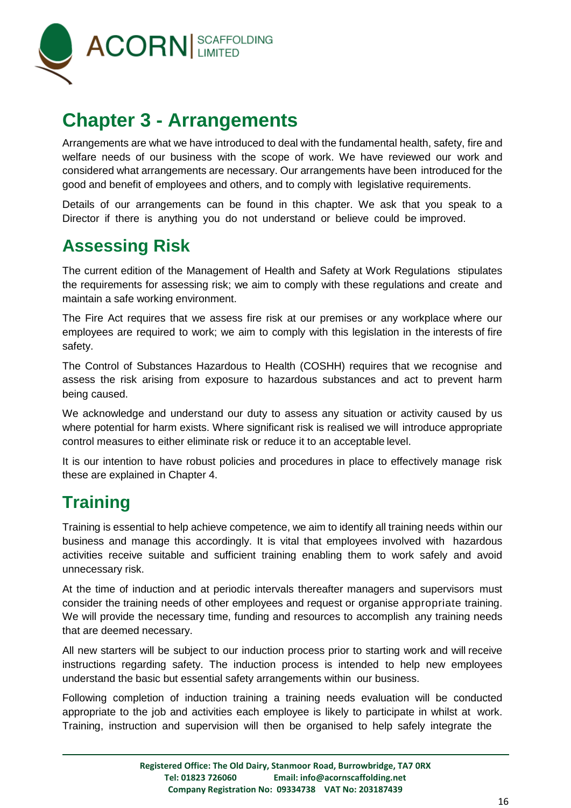

# <span id="page-15-0"></span>**Chapter 3 - Arrangements**

Arrangements are what we have introduced to deal with the fundamental health, safety, fire and welfare needs of our business with the scope of work. We have reviewed our work and considered what arrangements are necessary. Our arrangements have been introduced for the good and benefit of employees and others, and to comply with legislative requirements.

Details of our arrangements can be found in this chapter. We ask that you speak to a Director if there is anything you do not understand or believe could be improved.

## **Assessing Risk**

The current edition of the Management of Health and Safety at Work Regulations stipulates the requirements for assessing risk; we aim to comply with these regulations and create and maintain a safe working environment.

The Fire Act requires that we assess fire risk at our premises or any workplace where our employees are required to work; we aim to comply with this legislation in the interests of fire safety.

The Control of Substances Hazardous to Health (COSHH) requires that we recognise and assess the risk arising from exposure to hazardous substances and act to prevent harm being caused.

We acknowledge and understand our duty to assess any situation or activity caused by us where potential for harm exists. Where significant risk is realised we will introduce appropriate control measures to either eliminate risk or reduce it to an acceptable level.

It is our intention to have robust policies and procedures in place to effectively manage risk these are explained in Chapter 4.

## **Training**

Training is essential to help achieve competence, we aim to identify all training needs within our business and manage this accordingly. It is vital that employees involved with hazardous activities receive suitable and sufficient training enabling them to work safely and avoid unnecessary risk.

At the time of induction and at periodic intervals thereafter managers and supervisors must consider the training needs of other employees and request or organise appropriate training. We will provide the necessary time, funding and resources to accomplish any training needs that are deemed necessary.

All new starters will be subject to our induction process prior to starting work and will receive instructions regarding safety. The induction process is intended to help new employees understand the basic but essential safety arrangements within our business.

Following completion of induction training a training needs evaluation will be conducted appropriate to the job and activities each employee is likely to participate in whilst at work. Training, instruction and supervision will then be organised to help safely integrate the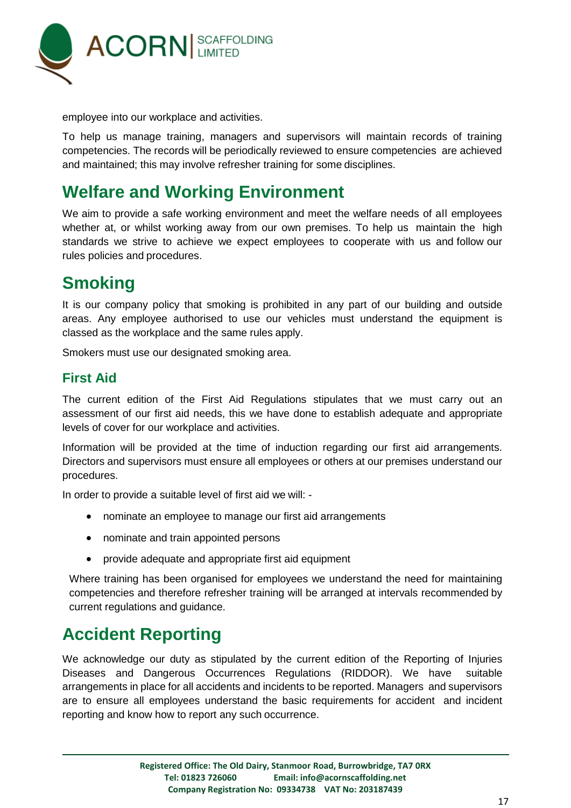

employee into our workplace and activities.

To help us manage training, managers and supervisors will maintain records of training competencies. The records will be periodically reviewed to ensure competencies are achieved and maintained; this may involve refresher training for some disciplines.

## **Welfare and Working Environment**

We aim to provide a safe working environment and meet the welfare needs of all employees whether at, or whilst working away from our own premises. To help us maintain the high standards we strive to achieve we expect employees to cooperate with us and follow our rules policies and procedures.

## **Smoking**

It is our company policy that smoking is prohibited in any part of our building and outside areas. Any employee authorised to use our vehicles must understand the equipment is classed as the workplace and the same rules apply.

Smokers must use our designated smoking area.

#### **First Aid**

The current edition of the First Aid Regulations stipulates that we must carry out an assessment of our first aid needs, this we have done to establish adequate and appropriate levels of cover for our workplace and activities.

Information will be provided at the time of induction regarding our first aid arrangements. Directors and supervisors must ensure all employees or others at our premises understand our procedures.

In order to provide a suitable level of first aid we will: -

- nominate an employee to manage our first aid arrangements
- nominate and train appointed persons
- provide adequate and appropriate first aid equipment

Where training has been organised for employees we understand the need for maintaining competencies and therefore refresher training will be arranged at intervals recommended by current regulations and guidance.

## **Accident Reporting**

We acknowledge our duty as stipulated by the current edition of the Reporting of Injuries Diseases and Dangerous Occurrences Regulations (RIDDOR). We have suitable arrangements in place for all accidents and incidents to be reported. Managers and supervisors are to ensure all employees understand the basic requirements for accident and incident reporting and know how to report any such occurrence.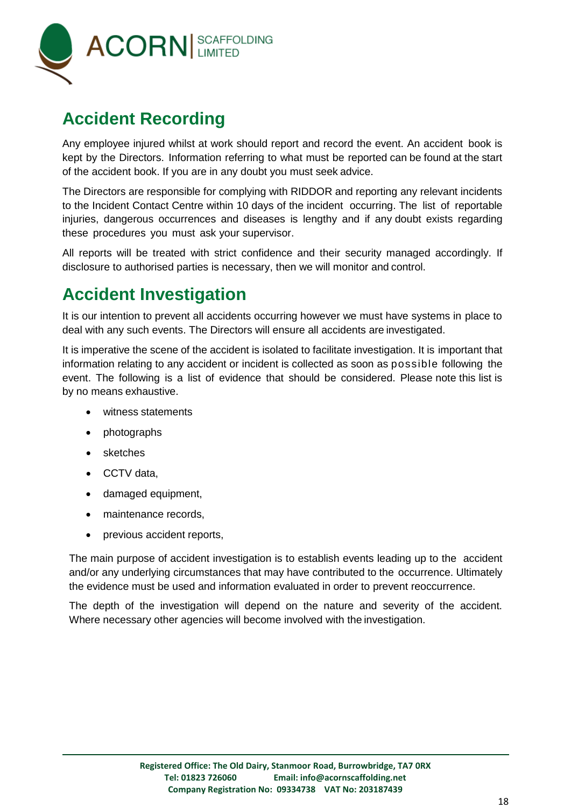

## **Accident Recording**

Any employee injured whilst at work should report and record the event. An accident book is kept by the Directors. Information referring to what must be reported can be found at the start of the accident book. If you are in any doubt you must seek advice.

The Directors are responsible for complying with RIDDOR and reporting any relevant incidents to the Incident Contact Centre within 10 days of the incident occurring. The list of reportable injuries, dangerous occurrences and diseases is lengthy and if any doubt exists regarding these procedures you must ask your supervisor.

All reports will be treated with strict confidence and their security managed accordingly. If disclosure to authorised parties is necessary, then we will monitor and control.

## **Accident Investigation**

It is our intention to prevent all accidents occurring however we must have systems in place to deal with any such events. The Directors will ensure all accidents are investigated.

It is imperative the scene of the accident is isolated to facilitate investigation. It is important that information relating to any accident or incident is collected as soon as possible following the event. The following is a list of evidence that should be considered. Please note this list is by no means exhaustive.

- witness statements
- photographs
- sketches
- CCTV data,
- damaged equipment,
- maintenance records.
- previous accident reports,

The main purpose of accident investigation is to establish events leading up to the accident and/or any underlying circumstances that may have contributed to the occurrence. Ultimately the evidence must be used and information evaluated in order to prevent reoccurrence.

The depth of the investigation will depend on the nature and severity of the accident. Where necessary other agencies will become involved with the investigation.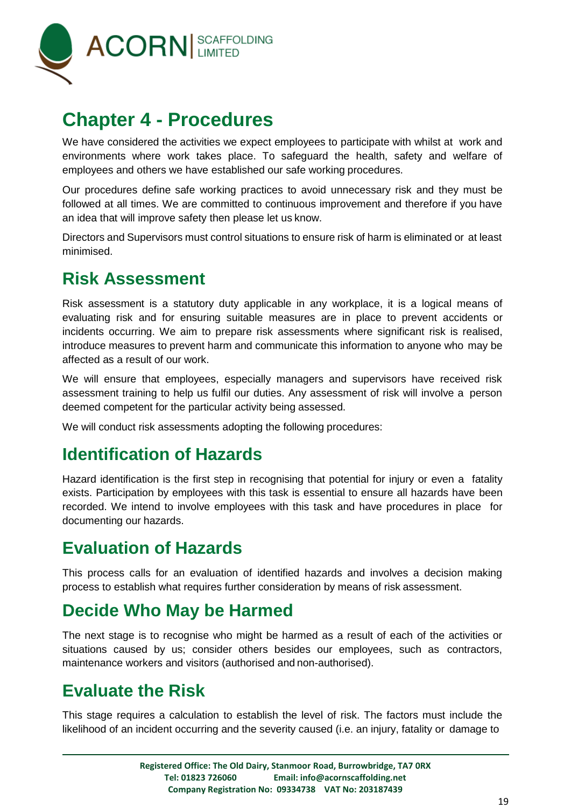

# <span id="page-18-0"></span>**Chapter 4 - Procedures**

We have considered the activities we expect employees to participate with whilst at work and environments where work takes place. To safeguard the health, safety and welfare of employees and others we have established our safe working procedures.

Our procedures define safe working practices to avoid unnecessary risk and they must be followed at all times. We are committed to continuous improvement and therefore if you have an idea that will improve safety then please let us know.

Directors and Supervisors must control situations to ensure risk of harm is eliminated or at least minimised.

## **Risk Assessment**

Risk assessment is a statutory duty applicable in any workplace, it is a logical means of evaluating risk and for ensuring suitable measures are in place to prevent accidents or incidents occurring. We aim to prepare risk assessments where significant risk is realised, introduce measures to prevent harm and communicate this information to anyone who may be affected as a result of our work.

We will ensure that employees, especially managers and supervisors have received risk assessment training to help us fulfil our duties. Any assessment of risk will involve a person deemed competent for the particular activity being assessed.

We will conduct risk assessments adopting the following procedures:

## **Identification of Hazards**

Hazard identification is the first step in recognising that potential for injury or even a fatality exists. Participation by employees with this task is essential to ensure all hazards have been recorded. We intend to involve employees with this task and have procedures in place for documenting our hazards.

## **Evaluation of Hazards**

This process calls for an evaluation of identified hazards and involves a decision making process to establish what requires further consideration by means of risk assessment.

## **Decide Who May be Harmed**

The next stage is to recognise who might be harmed as a result of each of the activities or situations caused by us; consider others besides our employees, such as contractors, maintenance workers and visitors (authorised and non-authorised).

## **Evaluate the Risk**

This stage requires a calculation to establish the level of risk. The factors must include the likelihood of an incident occurring and the severity caused (i.e. an injury, fatality or damage to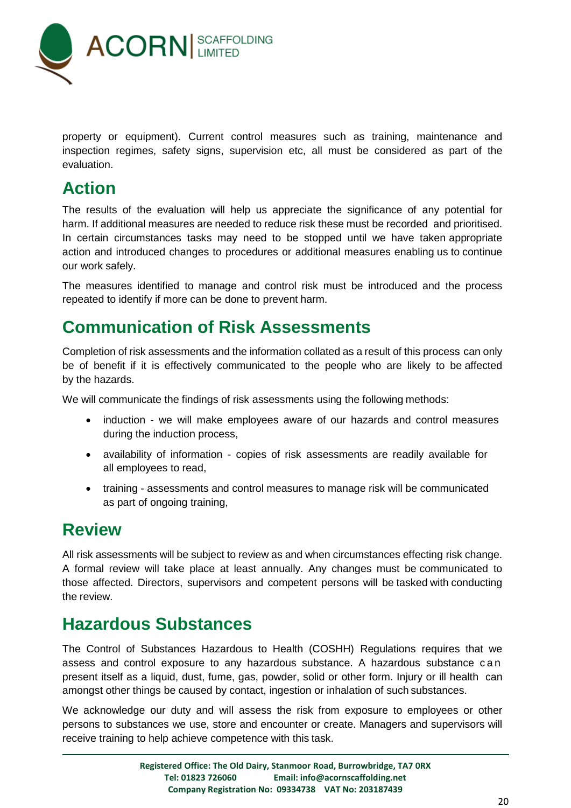

property or equipment). Current control measures such as training, maintenance and inspection regimes, safety signs, supervision etc, all must be considered as part of the evaluation.

## **Action**

The results of the evaluation will help us appreciate the significance of any potential for harm. If additional measures are needed to reduce risk these must be recorded and prioritised. In certain circumstances tasks may need to be stopped until we have taken appropriate action and introduced changes to procedures or additional measures enabling us to continue our work safely.

The measures identified to manage and control risk must be introduced and the process repeated to identify if more can be done to prevent harm.

## **Communication of Risk Assessments**

Completion of risk assessments and the information collated as a result of this process can only be of benefit if it is effectively communicated to the people who are likely to be affected by the hazards.

We will communicate the findings of risk assessments using the following methods:

- induction we will make employees aware of our hazards and control measures during the induction process,
- availability of information copies of risk assessments are readily available for all employees to read,
- training assessments and control measures to manage risk will be communicated as part of ongoing training,

#### **Review**

All risk assessments will be subject to review as and when circumstances effecting risk change. A formal review will take place at least annually. Any changes must be communicated to those affected. Directors, supervisors and competent persons will be tasked with conducting the review.

## **Hazardous Substances**

The Control of Substances Hazardous to Health (COSHH) Regulations requires that we assess and control exposure to any hazardous substance. A hazardous substance can present itself as a liquid, dust, fume, gas, powder, solid or other form. Injury or ill health can amongst other things be caused by contact, ingestion or inhalation of such substances.

We acknowledge our duty and will assess the risk from exposure to employees or other persons to substances we use, store and encounter or create. Managers and supervisors will receive training to help achieve competence with this task.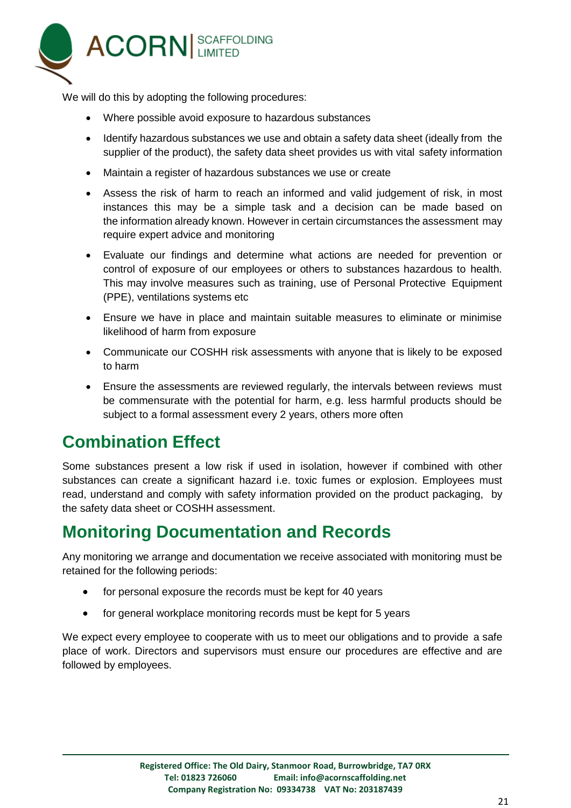

We will do this by adopting the following procedures:

- Where possible avoid exposure to hazardous substances
- Identify hazardous substances we use and obtain a safety data sheet (ideally from the supplier of the product), the safety data sheet provides us with vital safety information
- Maintain a register of hazardous substances we use or create
- Assess the risk of harm to reach an informed and valid judgement of risk, in most instances this may be a simple task and a decision can be made based on the information already known. However in certain circumstances the assessment may require expert advice and monitoring
- Evaluate our findings and determine what actions are needed for prevention or control of exposure of our employees or others to substances hazardous to health. This may involve measures such as training, use of Personal Protective Equipment (PPE), ventilations systems etc
- Ensure we have in place and maintain suitable measures to eliminate or minimise likelihood of harm from exposure
- Communicate our COSHH risk assessments with anyone that is likely to be exposed to harm
- Ensure the assessments are reviewed regularly, the intervals between reviews must be commensurate with the potential for harm, e.g. less harmful products should be subject to a formal assessment every 2 years, others more often

## **Combination Effect**

Some substances present a low risk if used in isolation, however if combined with other substances can create a significant hazard i.e. toxic fumes or explosion. Employees must read, understand and comply with safety information provided on the product packaging, by the safety data sheet or COSHH assessment.

## **Monitoring Documentation and Records**

Any monitoring we arrange and documentation we receive associated with monitoring must be retained for the following periods:

- for personal exposure the records must be kept for 40 years
- for general workplace monitoring records must be kept for 5 years

We expect every employee to cooperate with us to meet our obligations and to provide a safe place of work. Directors and supervisors must ensure our procedures are effective and are followed by employees.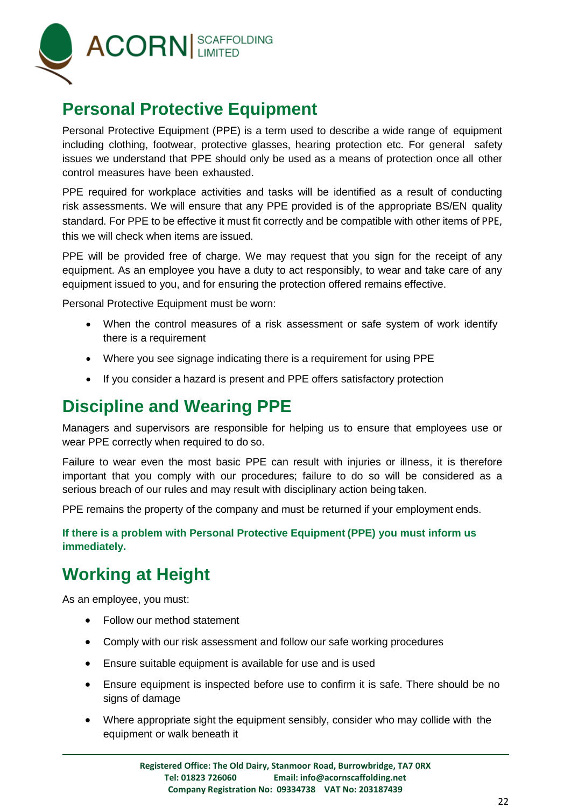

## **Personal Protective Equipment**

Personal Protective Equipment (PPE) is a term used to describe a wide range of equipment including clothing, footwear, protective glasses, hearing protection etc. For general safety issues we understand that PPE should only be used as a means of protection once all other control measures have been exhausted.

PPE required for workplace activities and tasks will be identified as a result of conducting risk assessments. We will ensure that any PPE provided is of the appropriate BS/EN quality standard. For PPE to be effective it must fit correctly and be compatible with other items of PPE, this we will check when items are issued.

PPE will be provided free of charge. We may request that you sign for the receipt of any equipment. As an employee you have a duty to act responsibly, to wear and take care of any equipment issued to you, and for ensuring the protection offered remains effective.

Personal Protective Equipment must be worn:

- When the control measures of a risk assessment or safe system of work identify there is a requirement
- Where you see signage indicating there is a requirement for using PPE
- If you consider a hazard is present and PPE offers satisfactory protection

## **Discipline and Wearing PPE**

Managers and supervisors are responsible for helping us to ensure that employees use or wear PPE correctly when required to do so.

Failure to wear even the most basic PPE can result with injuries or illness, it is therefore important that you comply with our procedures; failure to do so will be considered as a serious breach of our rules and may result with disciplinary action being taken.

PPE remains the property of the company and must be returned if your employment ends.

**If there is a problem with Personal Protective Equipment (PPE) you must inform us immediately.**

## **Working at Height**

As an employee, you must:

- Follow our method statement
- Comply with our risk assessment and follow our safe working procedures
- Ensure suitable equipment is available for use and is used
- Ensure equipment is inspected before use to confirm it is safe. There should be no signs of damage
- Where appropriate sight the equipment sensibly, consider who may collide with the equipment or walk beneath it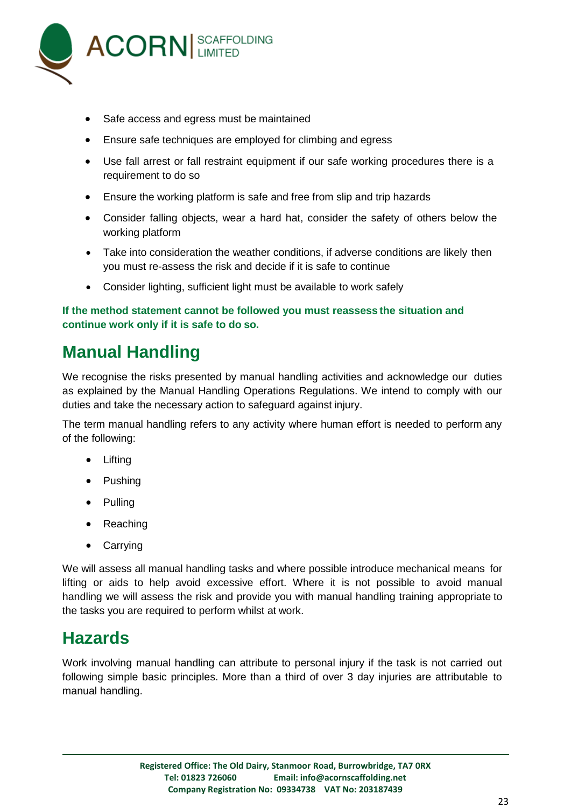

- Safe access and egress must be maintained
- Ensure safe techniques are employed for climbing and egress
- Use fall arrest or fall restraint equipment if our safe working procedures there is a requirement to do so
- Ensure the working platform is safe and free from slip and trip hazards
- Consider falling objects, wear a hard hat, consider the safety of others below the working platform
- Take into consideration the weather conditions, if adverse conditions are likely then you must re-assess the risk and decide if it is safe to continue
- Consider lighting, sufficient light must be available to work safely

#### **If the method statement cannot be followed you must reassess the situation and continue work only if it is safe to do so.**

## **Manual Handling**

We recognise the risks presented by manual handling activities and acknowledge our duties as explained by the Manual Handling Operations Regulations. We intend to comply with our duties and take the necessary action to safeguard against injury.

The term manual handling refers to any activity where human effort is needed to perform any of the following:

- **•** Lifting
- Pushing
- Pulling
- Reaching
- Carrying

We will assess all manual handling tasks and where possible introduce mechanical means for lifting or aids to help avoid excessive effort. Where it is not possible to avoid manual handling we will assess the risk and provide you with manual handling training appropriate to the tasks you are required to perform whilst at work.

## **Hazards**

Work involving manual handling can attribute to personal injury if the task is not carried out following simple basic principles. More than a third of over 3 day injuries are attributable to manual handling.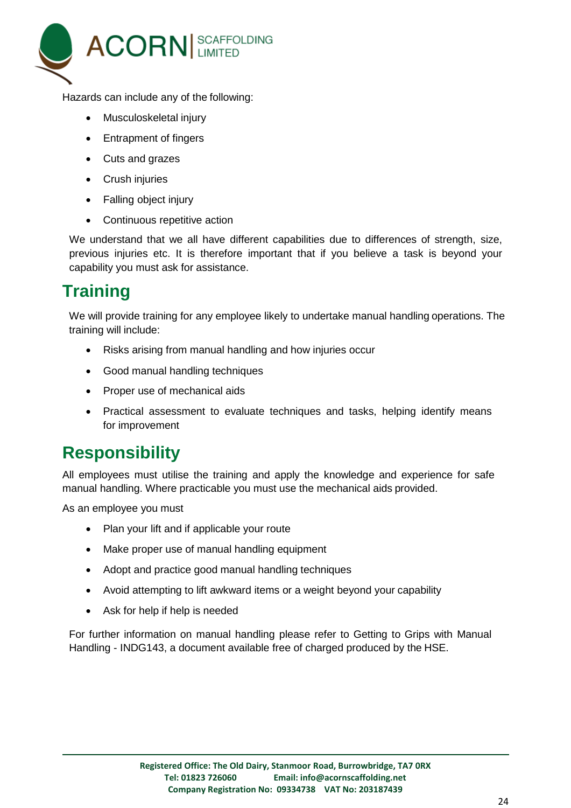

Hazards can include any of the following:

- Musculoskeletal injury
- Entrapment of fingers
- Cuts and grazes
- Crush injuries
- Falling object injury
- Continuous repetitive action

We understand that we all have different capabilities due to differences of strength, size, previous injuries etc. It is therefore important that if you believe a task is beyond your capability you must ask for assistance.

## **Training**

We will provide training for any employee likely to undertake manual handling operations. The training will include:

- Risks arising from manual handling and how injuries occur
- Good manual handling techniques
- Proper use of mechanical aids
- Practical assessment to evaluate techniques and tasks, helping identify means for improvement

## **Responsibility**

All employees must utilise the training and apply the knowledge and experience for safe manual handling. Where practicable you must use the mechanical aids provided.

As an employee you must

- Plan your lift and if applicable your route
- Make proper use of manual handling equipment
- Adopt and practice good manual handling techniques
- Avoid attempting to lift awkward items or a weight beyond your capability
- Ask for help if help is needed

For further information on manual handling please refer to Getting to Grips with Manual Handling - INDG143, a document available free of charged produced by the HSE.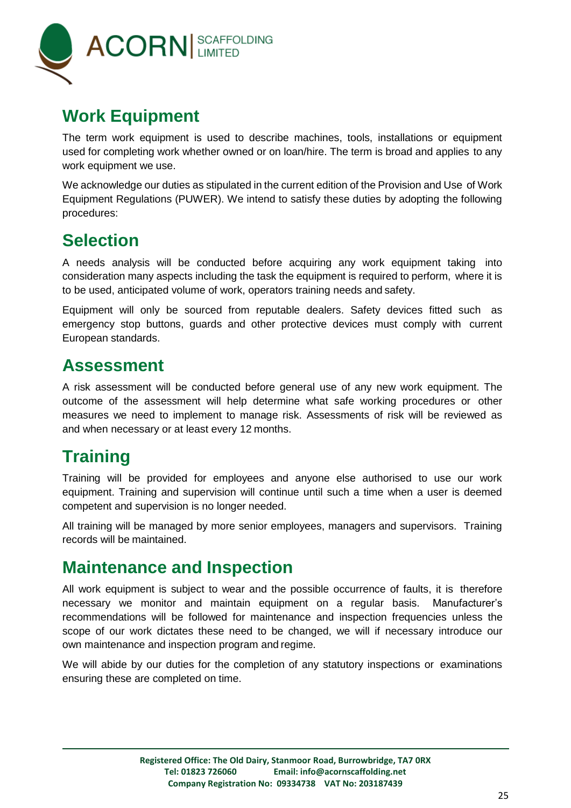

## **Work Equipment**

The term work equipment is used to describe machines, tools, installations or equipment used for completing work whether owned or on loan/hire. The term is broad and applies to any work equipment we use.

We acknowledge our duties as stipulated in the current edition of the Provision and Use of Work Equipment Regulations (PUWER). We intend to satisfy these duties by adopting the following procedures:

## **Selection**

A needs analysis will be conducted before acquiring any work equipment taking into consideration many aspects including the task the equipment is required to perform, where it is to be used, anticipated volume of work, operators training needs and safety.

Equipment will only be sourced from reputable dealers. Safety devices fitted such as emergency stop buttons, guards and other protective devices must comply with current European standards.

#### **Assessment**

A risk assessment will be conducted before general use of any new work equipment. The outcome of the assessment will help determine what safe working procedures or other measures we need to implement to manage risk. Assessments of risk will be reviewed as and when necessary or at least every 12 months.

# **Training**

Training will be provided for employees and anyone else authorised to use our work equipment. Training and supervision will continue until such a time when a user is deemed competent and supervision is no longer needed.

All training will be managed by more senior employees, managers and supervisors. Training records will be maintained.

## **Maintenance and Inspection**

All work equipment is subject to wear and the possible occurrence of faults, it is therefore necessary we monitor and maintain equipment on a regular basis. Manufacturer's recommendations will be followed for maintenance and inspection frequencies unless the scope of our work dictates these need to be changed, we will if necessary introduce our own maintenance and inspection program and regime.

We will abide by our duties for the completion of any statutory inspections or examinations ensuring these are completed on time.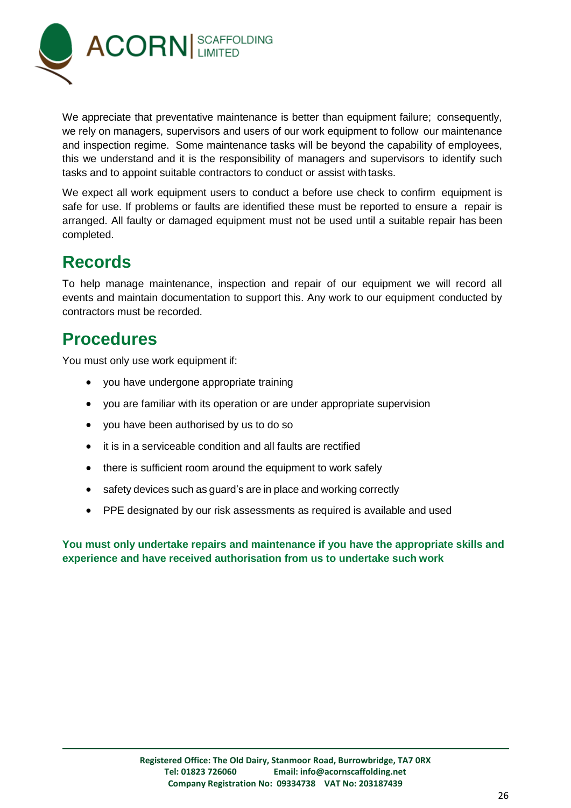![](_page_25_Picture_0.jpeg)

We appreciate that preventative maintenance is better than equipment failure; consequently, we rely on managers, supervisors and users of our work equipment to follow our maintenance and inspection regime. Some maintenance tasks will be beyond the capability of employees, this we understand and it is the responsibility of managers and supervisors to identify such tasks and to appoint suitable contractors to conduct or assist with tasks.

We expect all work equipment users to conduct a before use check to confirm equipment is safe for use. If problems or faults are identified these must be reported to ensure a repair is arranged. All faulty or damaged equipment must not be used until a suitable repair has been completed.

## **Records**

To help manage maintenance, inspection and repair of our equipment we will record all events and maintain documentation to support this. Any work to our equipment conducted by contractors must be recorded.

## **Procedures**

You must only use work equipment if:

- you have undergone appropriate training
- you are familiar with its operation or are under appropriate supervision
- you have been authorised by us to do so
- it is in a serviceable condition and all faults are rectified
- there is sufficient room around the equipment to work safely
- safety devices such as guard's are in place and working correctly
- PPE designated by our risk assessments as required is available and used

**You must only undertake repairs and maintenance if you have the appropriate skills and experience and have received authorisation from us to undertake such work**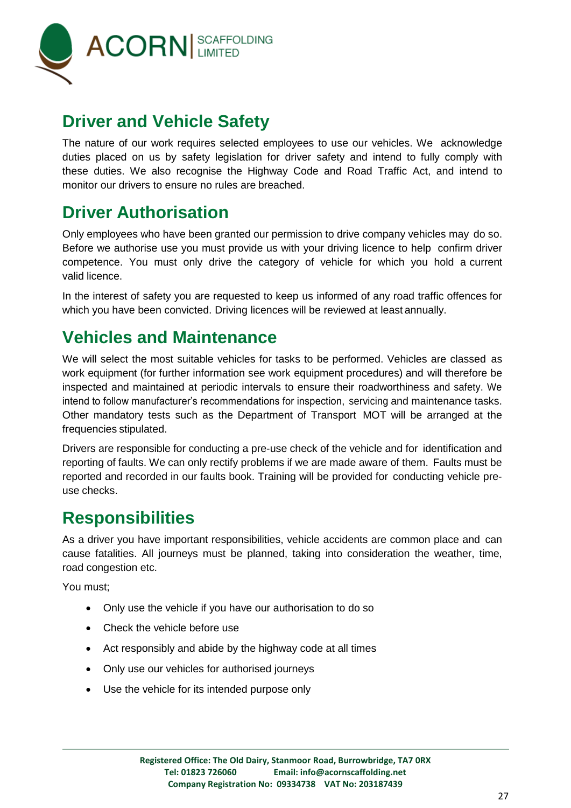![](_page_26_Picture_0.jpeg)

## **Driver and Vehicle Safety**

The nature of our work requires selected employees to use our vehicles. We acknowledge duties placed on us by safety legislation for driver safety and intend to fully comply with these duties. We also recognise the Highway Code and Road Traffic Act, and intend to monitor our drivers to ensure no rules are breached.

## **Driver Authorisation**

Only employees who have been granted our permission to drive company vehicles may do so. Before we authorise use you must provide us with your driving licence to help confirm driver competence. You must only drive the category of vehicle for which you hold a current valid licence.

In the interest of safety you are requested to keep us informed of any road traffic offences for which you have been convicted. Driving licences will be reviewed at least annually.

## **Vehicles and Maintenance**

We will select the most suitable vehicles for tasks to be performed. Vehicles are classed as work equipment (for further information see work equipment procedures) and will therefore be inspected and maintained at periodic intervals to ensure their roadworthiness and safety. We intend to follow manufacturer's recommendations for inspection, servicing and maintenance tasks. Other mandatory tests such as the Department of Transport MOT will be arranged at the frequencies stipulated.

Drivers are responsible for conducting a pre-use check of the vehicle and for identification and reporting of faults. We can only rectify problems if we are made aware of them. Faults must be reported and recorded in our faults book. Training will be provided for conducting vehicle preuse checks.

## **Responsibilities**

As a driver you have important responsibilities, vehicle accidents are common place and can cause fatalities. All journeys must be planned, taking into consideration the weather, time, road congestion etc.

You must;

- Only use the vehicle if you have our authorisation to do so
- Check the vehicle before use
- Act responsibly and abide by the highway code at all times
- Only use our vehicles for authorised journeys
- Use the vehicle for its intended purpose only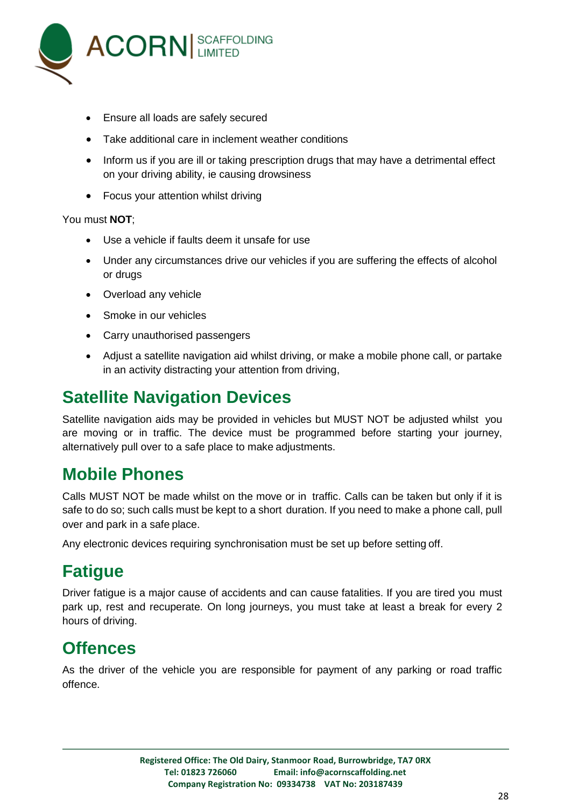![](_page_27_Picture_0.jpeg)

- Ensure all loads are safely secured
- Take additional care in inclement weather conditions
- Inform us if you are ill or taking prescription drugs that may have a detrimental effect on your driving ability, ie causing drowsiness
- Focus your attention whilst driving

You must **NOT**;

- Use a vehicle if faults deem it unsafe for use
- Under any circumstances drive our vehicles if you are suffering the effects of alcohol or drugs
- Overload any vehicle
- Smoke in our vehicles
- Carry unauthorised passengers
- Adjust a satellite navigation aid whilst driving, or make a mobile phone call, or partake in an activity distracting your attention from driving,

## **Satellite Navigation Devices**

Satellite navigation aids may be provided in vehicles but MUST NOT be adjusted whilst you are moving or in traffic. The device must be programmed before starting your journey, alternatively pull over to a safe place to make adjustments.

#### **Mobile Phones**

Calls MUST NOT be made whilst on the move or in traffic. Calls can be taken but only if it is safe to do so; such calls must be kept to a short duration. If you need to make a phone call, pull over and park in a safe place.

Any electronic devices requiring synchronisation must be set up before setting off.

## **Fatigue**

Driver fatigue is a major cause of accidents and can cause fatalities. If you are tired you must park up, rest and recuperate. On long journeys, you must take at least a break for every 2 hours of driving.

#### **Offences**

As the driver of the vehicle you are responsible for payment of any parking or road traffic offence.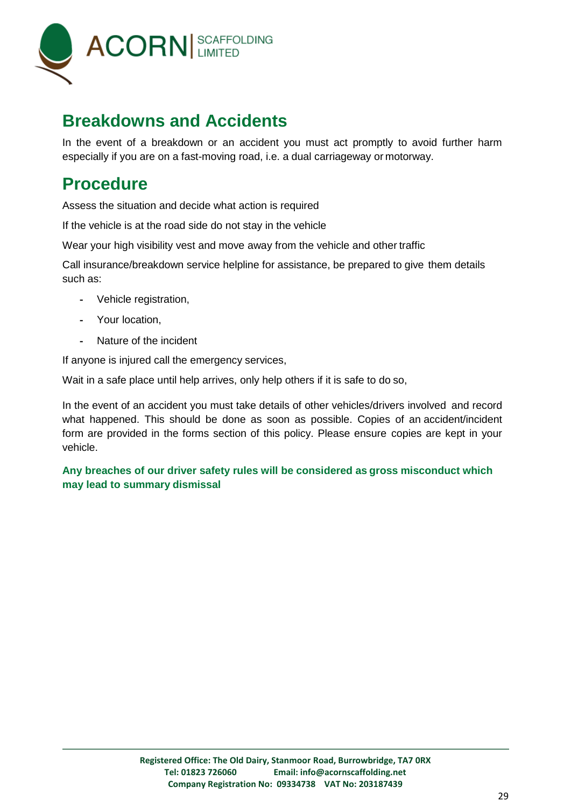![](_page_28_Picture_0.jpeg)

#### **Breakdowns and Accidents**

In the event of a breakdown or an accident you must act promptly to avoid further harm especially if you are on a fast-moving road, i.e. a dual carriageway or motorway.

#### **Procedure**

Assess the situation and decide what action is required

If the vehicle is at the road side do not stay in the vehicle

Wear your high visibility vest and move away from the vehicle and other traffic

Call insurance/breakdown service helpline for assistance, be prepared to give them details such as:

- Vehicle registration,
- Your location,
- Nature of the incident

If anyone is injured call the emergency services,

Wait in a safe place until help arrives, only help others if it is safe to do so,

In the event of an accident you must take details of other vehicles/drivers involved and record what happened. This should be done as soon as possible. Copies of an accident/incident form are provided in the forms section of this policy. Please ensure copies are kept in your vehicle.

**Any breaches of our driver safety rules will be considered as gross misconduct which may lead to summary dismissal**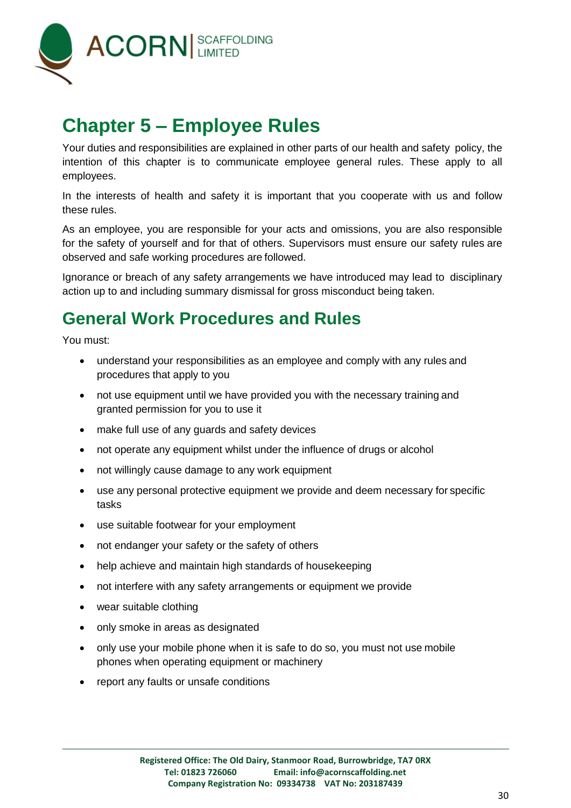![](_page_29_Picture_0.jpeg)

# <span id="page-29-0"></span>**Chapter 5 – Employee Rules**

Your duties and responsibilities are explained in other parts of our health and safety policy, the intention of this chapter is to communicate employee general rules. These apply to all employees.

In the interests of health and safety it is important that you cooperate with us and follow these rules.

As an employee, you are responsible for your acts and omissions, you are also responsible for the safety of yourself and for that of others. Supervisors must ensure our safety rules are observed and safe working procedures are followed.

Ignorance or breach of any safety arrangements we have introduced may lead to disciplinary action up to and including summary dismissal for gross misconduct being taken.

## **General Work Procedures and Rules**

You must:

- understand your responsibilities as an employee and comply with any rules and procedures that apply to you
- not use equipment until we have provided you with the necessary training and granted permission for you to use it
- make full use of any guards and safety devices
- not operate any equipment whilst under the influence of drugs or alcohol
- not willingly cause damage to any work equipment
- use any personal protective equipment we provide and deem necessary for specific tasks
- use suitable footwear for your employment
- not endanger your safety or the safety of others
- help achieve and maintain high standards of housekeeping
- not interfere with any safety arrangements or equipment we provide
- wear suitable clothing
- only smoke in areas as designated
- only use your mobile phone when it is safe to do so, you must not use mobile phones when operating equipment or machinery
- report any faults or unsafe conditions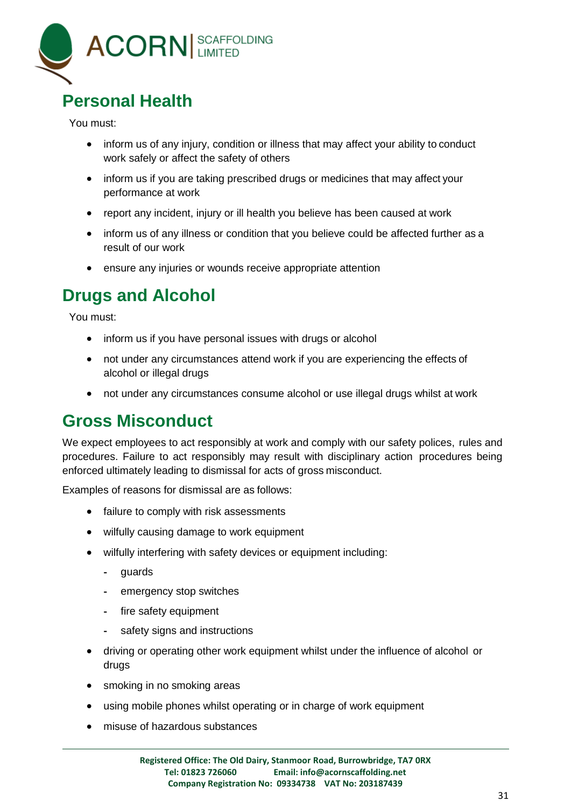![](_page_30_Picture_0.jpeg)

## **Personal Health**

You must:

- inform us of any injury, condition or illness that may affect your ability to conduct work safely or affect the safety of others
- inform us if you are taking prescribed drugs or medicines that may affect your performance at work
- report any incident, injury or ill health you believe has been caused at work
- inform us of any illness or condition that you believe could be affected further as a result of our work
- ensure any injuries or wounds receive appropriate attention

## **Drugs and Alcohol**

You must:

- inform us if you have personal issues with drugs or alcohol
- not under any circumstances attend work if you are experiencing the effects of alcohol or illegal drugs
- not under any circumstances consume alcohol or use illegal drugs whilst at work

## **Gross Misconduct**

We expect employees to act responsibly at work and comply with our safety polices, rules and procedures. Failure to act responsibly may result with disciplinary action procedures being enforced ultimately leading to dismissal for acts of gross misconduct.

Examples of reasons for dismissal are as follows:

- failure to comply with risk assessments
- wilfully causing damage to work equipment
- wilfully interfering with safety devices or equipment including:
	- guards
	- emergency stop switches
	- fire safety equipment
	- safety signs and instructions
- driving or operating other work equipment whilst under the influence of alcohol or drugs
- smoking in no smoking areas
- using mobile phones whilst operating or in charge of work equipment
- misuse of hazardous substances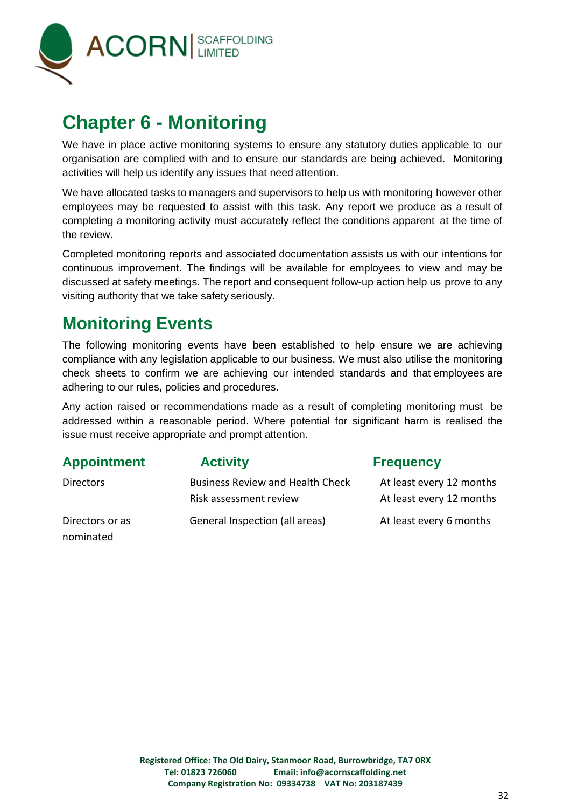![](_page_31_Picture_0.jpeg)

# <span id="page-31-0"></span>**Chapter 6 - Monitoring**

We have in place active monitoring systems to ensure any statutory duties applicable to our organisation are complied with and to ensure our standards are being achieved. Monitoring activities will help us identify any issues that need attention.

We have allocated tasks to managers and supervisors to help us with monitoring however other employees may be requested to assist with this task. Any report we produce as a result of completing a monitoring activity must accurately reflect the conditions apparent at the time of the review.

Completed monitoring reports and associated documentation assists us with our intentions for continuous improvement. The findings will be available for employees to view and may be discussed at safety meetings. The report and consequent follow-up action help us prove to any visiting authority that we take safety seriously.

## **Monitoring Events**

The following monitoring events have been established to help ensure we are achieving compliance with any legislation applicable to our business. We must also utilise the monitoring check sheets to confirm we are achieving our intended standards and that employees are adhering to our rules, policies and procedures.

Any action raised or recommendations made as a result of completing monitoring must be addressed within a reasonable period. Where potential for significant harm is realised the issue must receive appropriate and prompt attention.

| <b>Appointment</b>           | <b>Activity</b>                                                   | <b>Frequency</b>                                     |
|------------------------------|-------------------------------------------------------------------|------------------------------------------------------|
| <b>Directors</b>             | <b>Business Review and Health Check</b><br>Risk assessment review | At least every 12 months<br>At least every 12 months |
| Directors or as<br>nominated | General Inspection (all areas)                                    | At least every 6 months                              |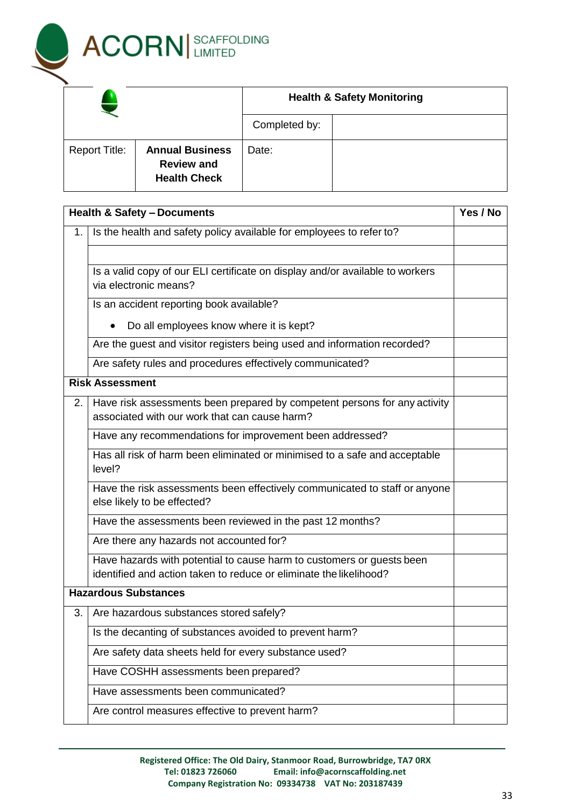![](_page_32_Picture_0.jpeg)

|                      |                                                                    |               | <b>Health &amp; Safety Monitoring</b> |
|----------------------|--------------------------------------------------------------------|---------------|---------------------------------------|
|                      |                                                                    | Completed by: |                                       |
| <b>Report Title:</b> | <b>Annual Business</b><br><b>Review and</b><br><b>Health Check</b> | Date:         |                                       |

|    | <b>Health &amp; Safety - Documents</b>                                                                                                      | Yes / No |
|----|---------------------------------------------------------------------------------------------------------------------------------------------|----------|
| 1. | Is the health and safety policy available for employees to refer to?                                                                        |          |
|    |                                                                                                                                             |          |
|    | Is a valid copy of our ELI certificate on display and/or available to workers<br>via electronic means?                                      |          |
|    | Is an accident reporting book available?                                                                                                    |          |
|    | Do all employees know where it is kept?                                                                                                     |          |
|    | Are the guest and visitor registers being used and information recorded?                                                                    |          |
|    | Are safety rules and procedures effectively communicated?                                                                                   |          |
|    | <b>Risk Assessment</b>                                                                                                                      |          |
| 2. | Have risk assessments been prepared by competent persons for any activity<br>associated with our work that can cause harm?                  |          |
|    | Have any recommendations for improvement been addressed?                                                                                    |          |
|    | Has all risk of harm been eliminated or minimised to a safe and acceptable<br>level?                                                        |          |
|    | Have the risk assessments been effectively communicated to staff or anyone<br>else likely to be effected?                                   |          |
|    | Have the assessments been reviewed in the past 12 months?                                                                                   |          |
|    | Are there any hazards not accounted for?                                                                                                    |          |
|    | Have hazards with potential to cause harm to customers or guests been<br>identified and action taken to reduce or eliminate the likelihood? |          |
|    | <b>Hazardous Substances</b>                                                                                                                 |          |
| 3. | Are hazardous substances stored safely?                                                                                                     |          |
|    | Is the decanting of substances avoided to prevent harm?                                                                                     |          |
|    | Are safety data sheets held for every substance used?                                                                                       |          |
|    | Have COSHH assessments been prepared?                                                                                                       |          |
|    | Have assessments been communicated?                                                                                                         |          |
|    | Are control measures effective to prevent harm?                                                                                             |          |

**Registered Office: The Old Dairy, Stanmoor Road, Burrowbridge, TA7 0RX Email: info@acornscaffolding.net Company Registration No: 09334738 VAT No: 203187439**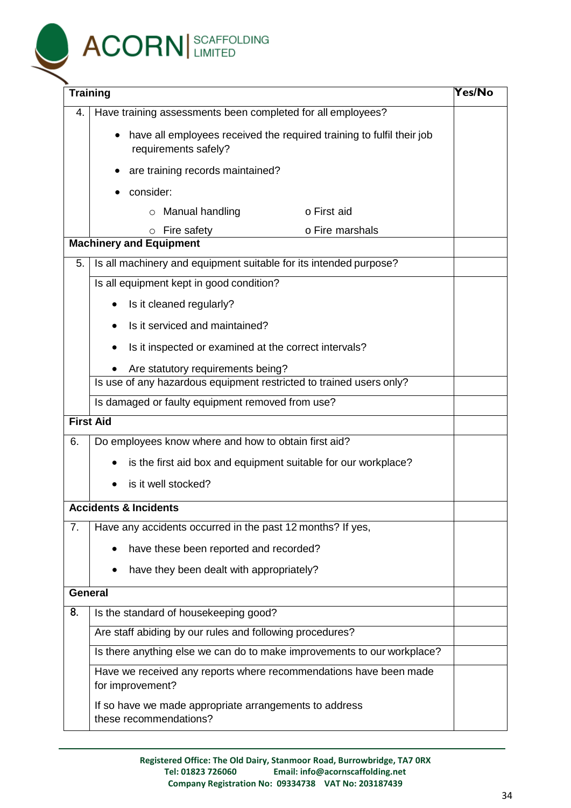![](_page_33_Picture_0.jpeg)

| 4.               | Have training assessments been completed for all employees?                                   |  |  |  |  |
|------------------|-----------------------------------------------------------------------------------------------|--|--|--|--|
|                  | have all employees received the required training to fulfil their job<br>requirements safely? |  |  |  |  |
|                  | are training records maintained?                                                              |  |  |  |  |
|                  | consider:<br>$\bullet$                                                                        |  |  |  |  |
|                  | $\circ$ Manual handling<br>o First aid                                                        |  |  |  |  |
|                  | o Fire marshals<br>Fire safety<br>$\circ$                                                     |  |  |  |  |
|                  | <b>Machinery and Equipment</b>                                                                |  |  |  |  |
| 5.               | Is all machinery and equipment suitable for its intended purpose?                             |  |  |  |  |
|                  | Is all equipment kept in good condition?                                                      |  |  |  |  |
|                  | Is it cleaned regularly?                                                                      |  |  |  |  |
|                  | Is it serviced and maintained?                                                                |  |  |  |  |
|                  | Is it inspected or examined at the correct intervals?                                         |  |  |  |  |
|                  | Are statutory requirements being?                                                             |  |  |  |  |
|                  | Is use of any hazardous equipment restricted to trained users only?                           |  |  |  |  |
|                  | Is damaged or faulty equipment removed from use?                                              |  |  |  |  |
| <b>First Aid</b> |                                                                                               |  |  |  |  |
| 6.               | Do employees know where and how to obtain first aid?                                          |  |  |  |  |
|                  | is the first aid box and equipment suitable for our workplace?                                |  |  |  |  |
|                  | is it well stocked?                                                                           |  |  |  |  |
|                  | <b>Accidents &amp; Incidents</b>                                                              |  |  |  |  |
| 7.               | Have any accidents occurred in the past 12 months? If yes,                                    |  |  |  |  |
|                  | have these been reported and recorded?                                                        |  |  |  |  |
|                  | have they been dealt with appropriately?                                                      |  |  |  |  |
| <b>General</b>   |                                                                                               |  |  |  |  |
| 8.               | Is the standard of housekeeping good?                                                         |  |  |  |  |
|                  | Are staff abiding by our rules and following procedures?                                      |  |  |  |  |
|                  | Is there anything else we can do to make improvements to our workplace?                       |  |  |  |  |
|                  | Have we received any reports where recommendations have been made<br>for improvement?         |  |  |  |  |
|                  | If so have we made appropriate arrangements to address<br>these recommendations?              |  |  |  |  |

**Registered Office: The Old Dairy, Stanmoor Road, Burrowbridge, TA7 0RX Email: info@acornscaffolding.net Company Registration No: 09334738 VAT No: 203187439**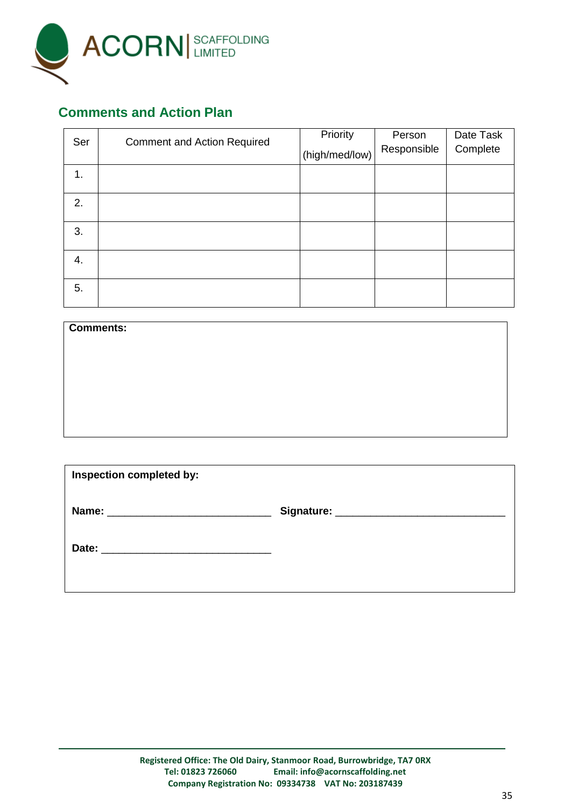![](_page_34_Picture_0.jpeg)

#### **Comments and Action Plan**

| Ser | <b>Comment and Action Required</b> | Priority<br>(high/med/low) | Person<br>Responsible | Date Task<br>Complete |
|-----|------------------------------------|----------------------------|-----------------------|-----------------------|
| 1.  |                                    |                            |                       |                       |
| 2.  |                                    |                            |                       |                       |
| 3.  |                                    |                            |                       |                       |
| 4.  |                                    |                            |                       |                       |
| 5.  |                                    |                            |                       |                       |

| <b>Comments:</b> |  |  |
|------------------|--|--|
|                  |  |  |
|                  |  |  |
|                  |  |  |
|                  |  |  |
|                  |  |  |
|                  |  |  |

| Inspection completed by: |  |  |  |  |
|--------------------------|--|--|--|--|
|                          |  |  |  |  |
| Date:                    |  |  |  |  |
|                          |  |  |  |  |